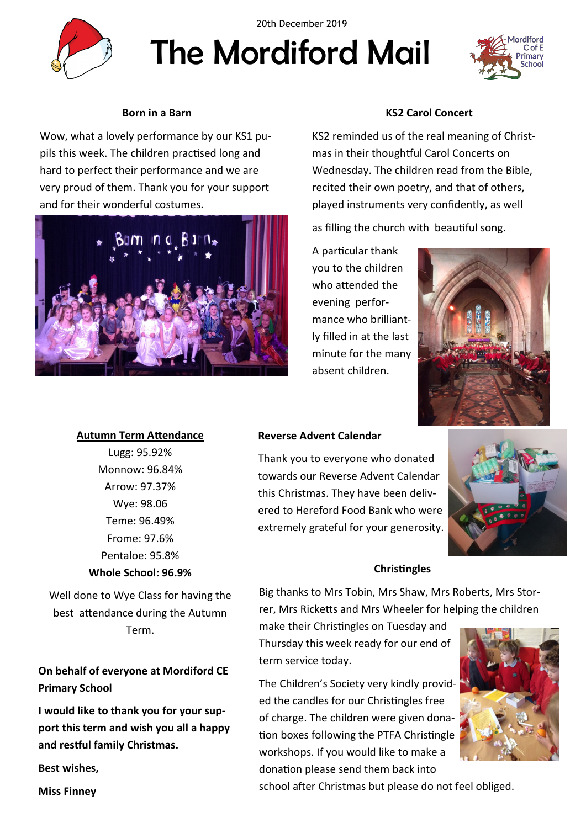

The Mordiford Mail 20th December 2019

# **Born in a Barn**

Wow, what a lovely performance by our KS1 pupils this week. The children practised long and hard to perfect their performance and we are very proud of them. Thank you for your support and for their wonderful costumes.



## **KS2 Carol Concert**

KS2 reminded us of the real meaning of Christmas in their thoughtful Carol Concerts on Wednesday. The children read from the Bible, recited their own poetry, and that of others, played instruments very confidently, as well

as filling the church with beautiful song.

A particular thank you to the children who attended the evening performance who brilliantly filled in at the last minute for the many absent children.



### **Autumn Term Attendance**

Lugg: 95.92% Monnow: 96.84% Arrow: 97.37% Wye: 98.06 Teme: 96.49% Frome: 97.6% Pentaloe: 95.8% **Whole School: 96.9%**

Well done to Wye Class for having the best attendance during the Autumn Term.

**On behalf of everyone at Mordiford CE Primary School** 

**I would like to thank you for your support this term and wish you all a happy and restful family Christmas.**

**Best wishes,**

**Reverse Advent Calendar**

Thank you to everyone who donated towards our Reverse Advent Calendar this Christmas. They have been delivered to Hereford Food Bank who were extremely grateful for your generosity.



### **Christingles**

Big thanks to Mrs Tobin, Mrs Shaw, Mrs Roberts, Mrs Storrer, Mrs Ricketts and Mrs Wheeler for helping the children

make their Christingles on Tuesday and Thursday this week ready for our end of term service today.

The Children's Society very kindly provided the candles for our Christingles free of charge. The children were given donation boxes following the PTFA Christingle workshops. If you would like to make a donation please send them back into



school after Christmas but please do not feel obliged.

**Miss Finney**